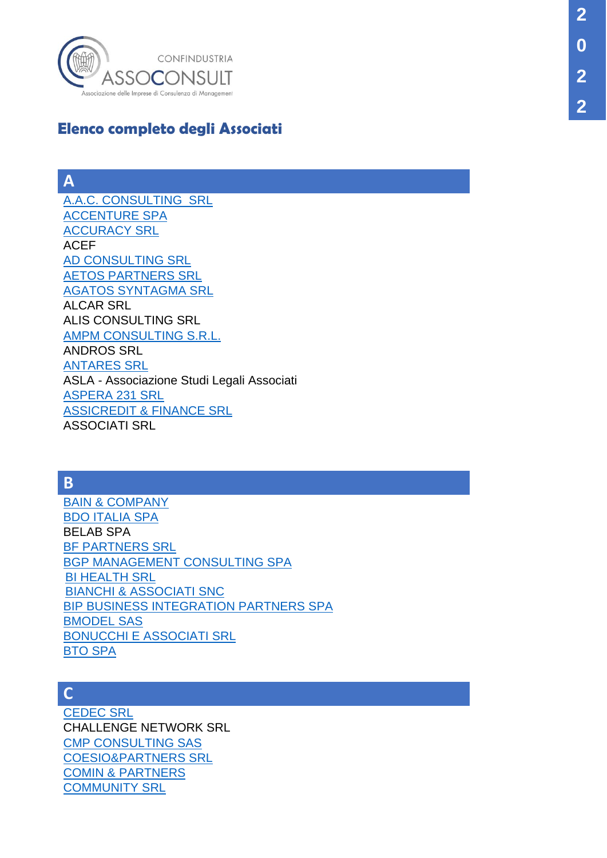

# **Elenco completo degli Associati**

### **A**

[A.A.C. CONSULTING SRL](http://www.assoconsult.org/imprese-associate/aac-consulting-srl/) [ACCENTURE SPA](http://www.assoconsult.org/imprese-associate/accenture/) [ACCURACY SRL](https://www.assoconsult.org/imprese-associate/accuracy/) ACEF [AD CONSULTING SRL](https://www.assoconsult.org/imprese-associate/ad-consulting-srl/) [AETOS PARTNERS SRL](https://www.assoconsult.org/imprese-associate/aetos-partners-srl/) [AGATOS SYNTAGMA SRL](https://www.assoconsult.org/imprese-associate/agatos-syntagma-srl/) ALCAR SRL ALIS CONSULTING SRL [AMPM CONSULTING S.R.L.](http://www.assoconsult.org/imprese-associate/ampm-consulting/) ANDROS SRL [ANTARES SRL](http://www.assoconsult.org/imprese-associate/antares-srl/) ASLA - Associazione Studi Legali Associati [ASPERA](https://www.assoconsult.org/imprese-associate/aspera-231-srl/) 231 SRL [ASSICREDIT & FINANCE SRL](https://www.assoconsult.org/imprese-associate/assicredit-e-finance-srl/) ASSOCIATI SRL

### **B**

[BAIN & COMPANY](https://www.assoconsult.org/imprese-associate/bain-e-company/) [BDO ITALIA SPA](http://www.assoconsult.org/imprese-associate/bdo-italia/) BELAB SPA [BF PARTNERS SRL](http://www.assoconsult.org/imprese-associate/bfpartners/) [BGP MANAGEMENT CONSULTING SPA](http://www.assoconsult.org/imprese-associate/bgp/) **[BI HEALTH SRL](https://www.assoconsult.org/imprese-associate/bi-health/)** [BIANCHI & ASSOCIATI SNC](https://www.assoconsult.org/imprese-associate/bianchi-e-associati/) [BIP BUSINESS INTEGRATION PARTNERS SPA](http://www.assoconsult.org/imprese-associate/bip/) [BMODEL SAS](http://www.assoconsult.org/imprese-associate/bmodel-sas/) [BONUCCHI E ASSOCIATI SRL](http://www.assoconsult.org/imprese-associate/bonucchi-associati/) [BTO SPA](http://www.assoconsult.org/imprese-associate/bto-spa/)

### **C**

[CEDEC SRL](http://www.assoconsult.org/imprese-associate/cedec-srl/) CHALLENGE NETWORK SRL [CMP CONSULTING SAS](http://www.assoconsult.org/imprese-associate/cmpconsulting/) [COESIO&PARTNERS SRL](https://www.assoconsult.org/imprese-associate/coesio-e-partners/) [COMIN & PARTNERS](https://www.assoconsult.org/imprese-associate/comin-e-partners/) [COMMUNITY SRL](https://www.assoconsult.org/imprese-associate/community-srl/)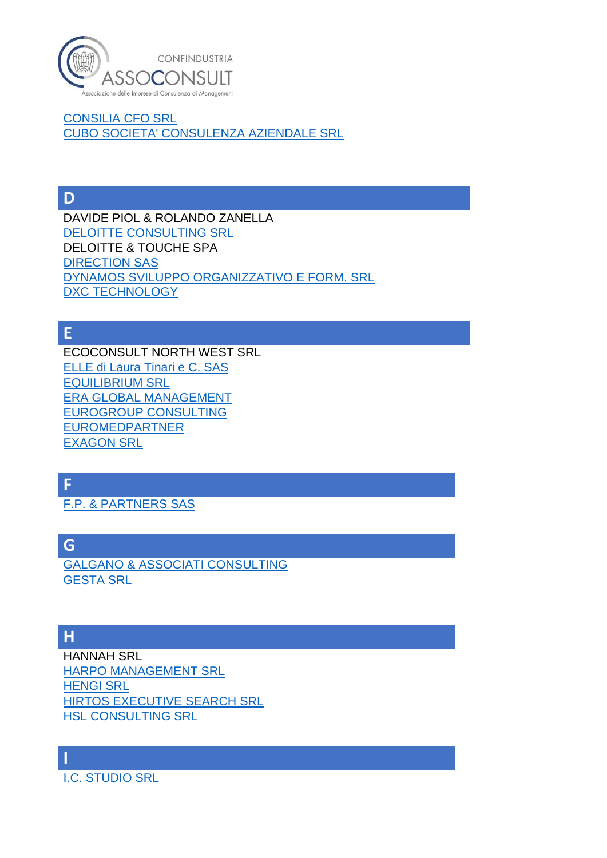

[CONSILIA CFO SRL](http://www.assoconsult.org/imprese-associate/consilia-cfo/) [CUBO SOCIETA' CONSULENZA AZIENDALE SRL](http://www.assoconsult.org/imprese-associate/cubo/)

**D**

DAVIDE PIOL & ROLANDO ZANELLA [DELOITTE CONSULTING SRL](http://www.assoconsult.org/imprese-associate/deloitte-consulting/) DELOITTE & TOUCHE SPA [DIRECTION SAS](http://www.assoconsult.org/imprese-associate/direction/) [DYNAMOS SVILUPPO ORGANIZZATIVO E FORM. SRL](http://www.assoconsult.org/imprese-associate/dynamos/) [DXC TECHNOLOGY](http://www.assoconsult.org/imprese-associate/dxc-techonology/)

**E**

ECOCONSULT NORTH WEST SRL [ELLE di Laura Tinari e C. SAS](http://www.assoconsult.org/imprese-associate/elle/) [EQUILIBRIUM SRL](https://www.assoconsult.org/imprese-associate/equilibrium-adr-firm/) [ERA GLOBAL MANAGEMENT](https://www.assoconsult.org/imprese-associate/era-global-management-srl/) [EUROGROUP CONSULTING](https://www.assoconsult.org/imprese-associate/eurogroup-consulting/) [EUROMEDPARTNER](https://www.assoconsult.org/imprese-associate/euromed-partner/) [EXAGON](http://www.assoconsult.org/imprese-associate/exagon-srl/) SRL

**F**

[F.P. & PARTNERS SAS](http://www.assoconsult.org/imprese-associate/fppartners/)

**G**

[GALGANO & ASSOCIATI CONSULTING](https://www.assoconsult.org/imprese-associate/galgano-e-associati-consulting/) [GESTA SRL](http://www.assoconsult.org/imprese-associate/gesta/)

## **H**

HANNAH SRL [HARPO MANAGEMENT SRL](http://www.assoconsult.org/imprese-associate/harpomanagement/) [HENGI SRL](https://www.assoconsult.org/imprese-associate/hengi-srl/) [HIRTOS EXECUTIVE SEARCH SRL](http://www.assoconsult.org/imprese-associate/hirtos-executive-search/) [HSL CONSULTING SRL](https://www.assoconsult.org/imprese-associate/hsl-consulting-srl/)

**I** [I.C. STUDIO SRL](http://www.assoconsult.org/imprese-associate/icstudio/)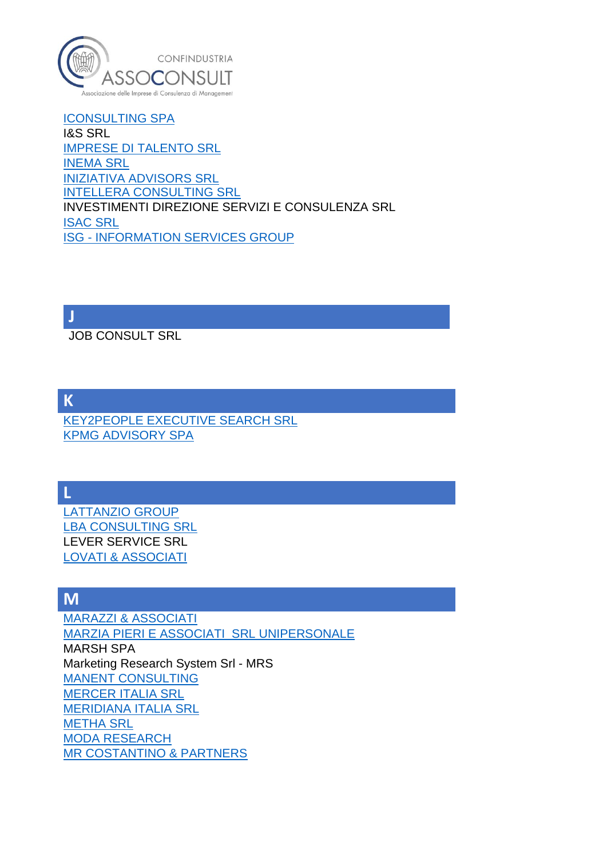

[ICONSULTING SPA](https://www.assoconsult.org/imprese-associate/iconsulting-spa/) I&S SRL [IMPRESE DI TALENTO SRL](https://www.assoconsult.org/imprese-associate/imprese-di-talento-srl/) [INEMA SRL](http://www.assoconsult.org/imprese-associate/inema/) [INIZIATIVA ADVISORS SRL](http://www.assoconsult.org/imprese-associate/iniziativa/) [INTELLERA CONSULTING SRL](https://www.assoconsult.org/imprese-associate/intellera-consulting/) INVESTIMENTI DIREZIONE SERVIZI E CONSULENZA SRL [ISAC SRL](https://www.assoconsult.org/imprese-associate/isac-srl/) ISG - [INFORMATION SERVICES GROUP](http://www.assoconsult.org/imprese-associate/isg-italia/)

**J**

JOB CONSULT SRL

**K**

[KEY2PEOPLE EXECUTIVE SEARCH SRL](http://www.assoconsult.org/imprese-associate/key2people/) [KPMG ADVISORY SPA](http://www.assoconsult.org/imprese-associate/kpmg-advisory/)

**L**

[LATTANZIO GROUP](http://www.assoconsult.org/imprese-associate/lattanzio-kibs-spa/) [LBA CONSULTING SRL](http://www.assoconsult.org/imprese-associate/lbaconsulting/) LEVER SERVICE SRL [LOVATI & ASSOCIATI](https://www.assoconsult.org/imprese-associate/lovati-e-associati/)

### **M**

[MARAZZI & ASSOCIATI](https://www.assoconsult.org/imprese-associate/marazzi-e-associati/) [MARZIA PIERI E ASSOCIATI SRL UNIPERSONALE](http://www.assoconsult.org/imprese-associate/marzia-pieri-e-associati/) MARSH SPA Marketing Research System Srl - MRS [MANENT CONSULTING](https://www.assoconsult.org/imprese-associate/manent-consulting/) [MERCER ITALIA SRL](http://www.assoconsult.org/imprese-associate/mercer/) [MERIDIANA ITALIA SRL](http://www.assoconsult.org/imprese-associate/meridiana/) [METHA SRL](http://www.assoconsult.org/imprese-associate/metha/) [MODA RESEARCH](http://www.assoconsult.org/imprese-associate/moda-research/) [MR COSTANTINO & PARTNERS](http://www.assoconsult.org/imprese-associate/mr-costantino-partners/)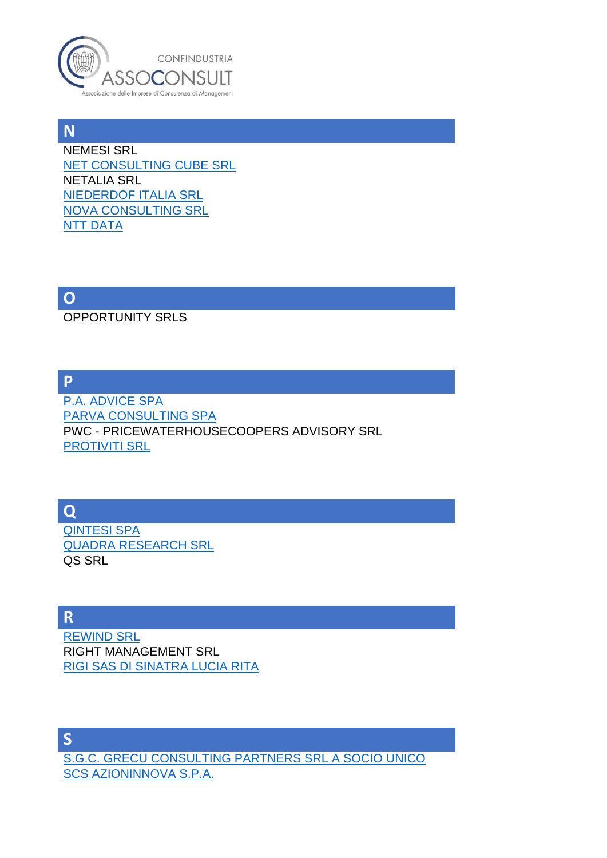

**N** NEMESI SRL [NET CONSULTING CUBE SRL](http://www.assoconsult.org/imprese-associate/netconsulting-cube/) NETALIA SRL [NIEDERDOF ITALIA SRL](https://www.assoconsult.org/imprese-associate/niederdof-italia/) [NOVA CONSULTING SRL](http://www.assoconsult.org/imprese-associate/novaconsulting/) [NTT DATA](http://www.assoconsult.org/imprese-associate/nttdata/)

**O**

OPPORTUNITY SRLS

**P**

[P.A. ADVICE SPA](http://www.assoconsult.org/imprese-associate/pa-advice/) [PARVA CONSULTING SPA](http://www.assoconsult.org/imprese-associate/parva-consulting/) PWC - PRICEWATERHOUSECOOPERS ADVISORY SRL [PROTIVITI SRL](http://www.assoconsult.org/imprese-associate/protiviti/)

**Q**

[QINTESI SPA](https://www.assoconsult.org/imprese-associate/qintesi/) [QUADRA RESEARCH SRL](http://www.assoconsult.org/imprese-associate/quadra-research/) QS SRL

**R**

[REWIND SRL](https://www.assoconsult.org/imprese-associate/rewind/) RIGHT MANAGEMENT SRL [RIGI SAS DI SINATRA LUCIA RITA](http://www.assoconsult.org/imprese-associate/rigi/)

**S** [S.G.C. GRECU CONSULTING PARTNERS SRL A SOCIO UNICO](http://www.assoconsult.org/imprese-associate/sgc-grecu-consulting/) [SCS AZIONINNOVA S.P.A.](http://www.assoconsult.org/imprese-associate/scs-azioninnova/)